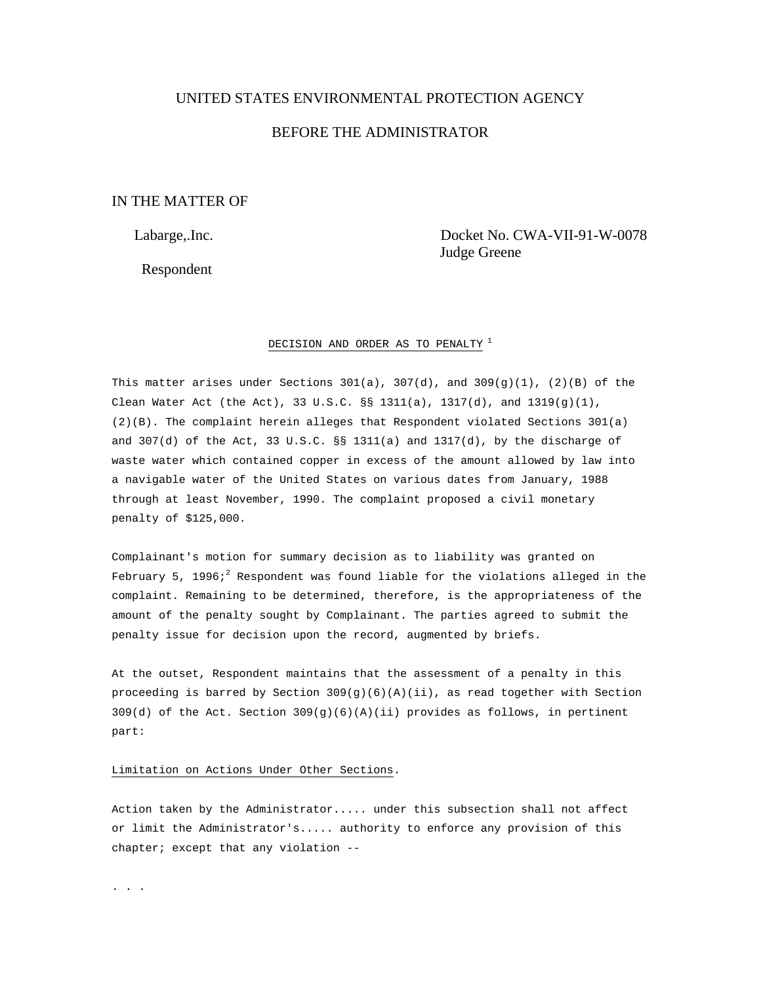# UNITED STATES ENVIRONMENTAL PROTECTION AGENCY

# BEFORE THE ADMINISTRATOR

# IN THE MATTER OF

Respondent

 Labarge,.Inc. Docket No. CWA-VII-91-W-0078 Judge Greene

## DECISION AND ORDER AS TO PENALTY  $^1$

This matter arises under Sections  $301(a)$ ,  $307(d)$ , and  $309(g)(1)$ ,  $(2)(B)$  of the Clean Water Act (the Act), 33 U.S.C. §§ 1311(a), 1317(d), and  $1319(g)(1)$ , (2)(B). The complaint herein alleges that Respondent violated Sections 301(a) and  $307(d)$  of the Act,  $33 \text{ U.S.C.}$   $\S$ §  $1311(a)$  and  $1317(d)$ , by the discharge of waste water which contained copper in excess of the amount allowed by law into a navigable water of the United States on various dates from January, 1988 through at least November, 1990. The complaint proposed a civil monetary penalty of \$125,000.

Complainant's motion for summary decision as to liability was granted on February 5, 1996; $^2$  Respondent was found liable for the violations alleged in the complaint. Remaining to be determined, therefore, is the appropriateness of the amount of the penalty sought by Complainant. The parties agreed to submit the penalty issue for decision upon the record, augmented by briefs.

At the outset, Respondent maintains that the assessment of a penalty in this proceeding is barred by Section  $309(g)(6)(A)(ii)$ , as read together with Section 309(d) of the Act. Section 309(g)(6)(A)(ii) provides as follows, in pertinent part:

## Limitation on Actions Under Other Sections.

Action taken by the Administrator..... under this subsection shall not affect or limit the Administrator's..... authority to enforce any provision of this chapter; except that any violation --

. . . .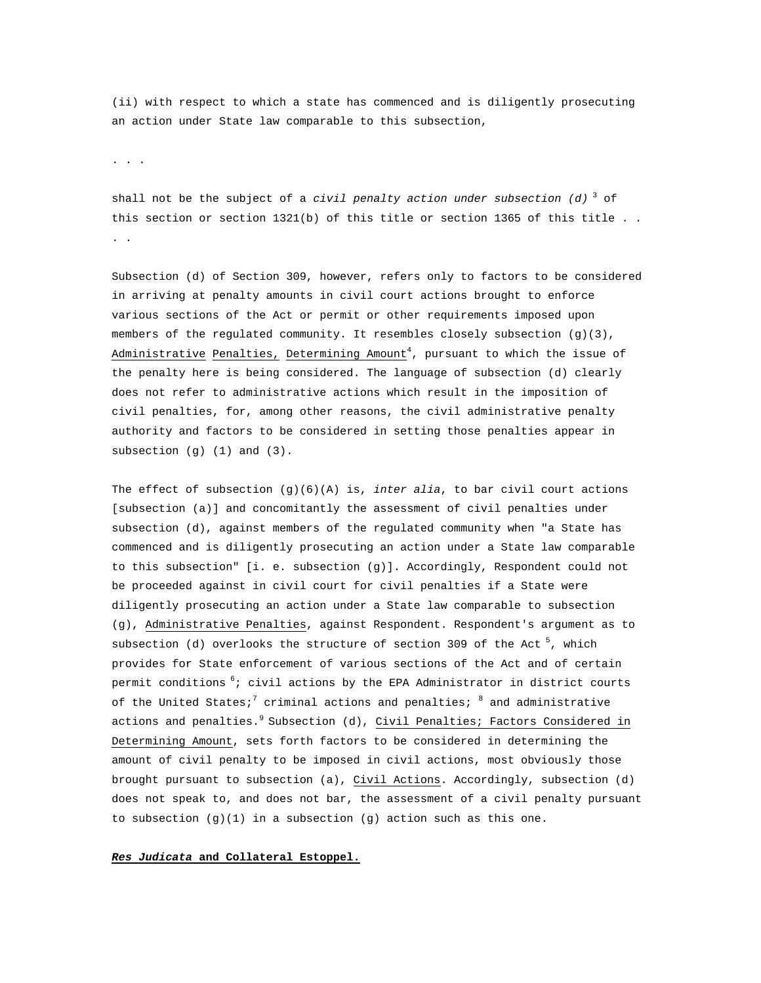(ii) with respect to which a state has commenced and is diligently prosecuting an action under State law comparable to this subsection,

. . .

shall not be the subject of a *civil penalty action under subsection (d)* 3 of this section or section  $1321(b)$  of this title or section 1365 of this title .. . .

Subsection (d) of Section 309, however, refers only to factors to be considered in arriving at penalty amounts in civil court actions brought to enforce various sections of the Act or permit or other requirements imposed upon members of the regulated community. It resembles closely subsection (g)(3), Administrative Penalties, Determining Amount $^4$ , pursuant to which the issue of the penalty here is being considered. The language of subsection (d) clearly does not refer to administrative actions which result in the imposition of civil penalties, for, among other reasons, the civil administrative penalty authority and factors to be considered in setting those penalties appear in subsection (g) (1) and (3).

The effect of subsection (g)(6)(A) is, *inter alia*, to bar civil court actions [subsection (a)] and concomitantly the assessment of civil penalties under subsection (d), against members of the regulated community when "a State has commenced and is diligently prosecuting an action under a State law comparable to this subsection" [i. e. subsection (g)]. Accordingly, Respondent could not be proceeded against in civil court for civil penalties if a State were diligently prosecuting an action under a State law comparable to subsection (g), Administrative Penalties, against Respondent. Respondent's argument as to subsection (d) overlooks the structure of section 309 of the Act<sup>5</sup>, which provides for State enforcement of various sections of the Act and of certain permit conditions <sup>6</sup>; civil actions by the EPA Administrator in district courts of the United States; $^7$  criminal actions and penalties;  $^8$  and administrative actions and penalties.<sup>9</sup> Subsection (d), Civil Penalties; Factors Considered in Determining Amount, sets forth factors to be considered in determining the amount of civil penalty to be imposed in civil actions, most obviously those brought pursuant to subsection (a), Civil Actions. Accordingly, subsection (d) does not speak to, and does not bar, the assessment of a civil penalty pursuant to subsection  $(g)(1)$  in a subsection  $(g)$  action such as this one.

### *Res Judicata* **and Collateral Estoppel.**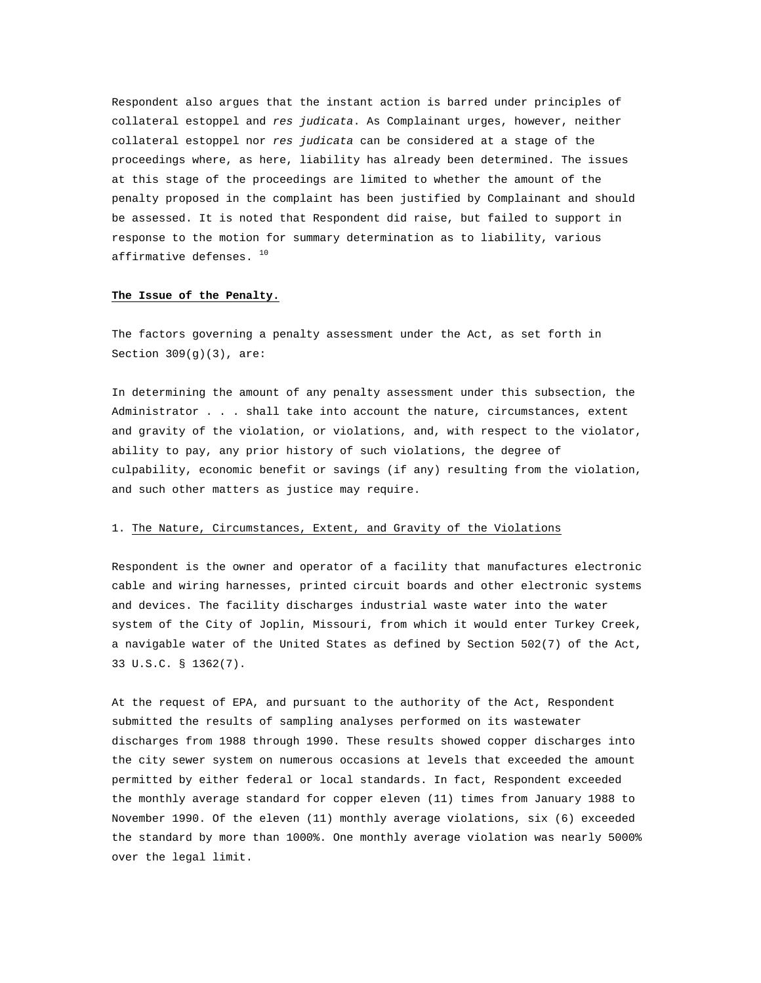Respondent also argues that the instant action is barred under principles of collateral estoppel and *res judicata*. As Complainant urges, however, neither collateral estoppel nor *res judicata* can be considered at a stage of the proceedings where, as here, liability has already been determined. The issues at this stage of the proceedings are limited to whether the amount of the penalty proposed in the complaint has been justified by Complainant and should be assessed. It is noted that Respondent did raise, but failed to support in response to the motion for summary determination as to liability, various affirmative defenses. <sup>10</sup>

#### **The Issue of the Penalty.**

The factors governing a penalty assessment under the Act, as set forth in Section  $309(q)(3)$ , are:

In determining the amount of any penalty assessment under this subsection, the Administrator . . . shall take into account the nature, circumstances, extent and gravity of the violation, or violations, and, with respect to the violator, ability to pay, any prior history of such violations, the degree of culpability, economic benefit or savings (if any) resulting from the violation, and such other matters as justice may require.

### 1. The Nature, Circumstances, Extent, and Gravity of the Violations

Respondent is the owner and operator of a facility that manufactures electronic cable and wiring harnesses, printed circuit boards and other electronic systems and devices. The facility discharges industrial waste water into the water system of the City of Joplin, Missouri, from which it would enter Turkey Creek, a navigable water of the United States as defined by Section 502(7) of the Act, 33 U.S.C. § 1362(7).

At the request of EPA, and pursuant to the authority of the Act, Respondent submitted the results of sampling analyses performed on its wastewater discharges from 1988 through 1990. These results showed copper discharges into the city sewer system on numerous occasions at levels that exceeded the amount permitted by either federal or local standards. In fact, Respondent exceeded the monthly average standard for copper eleven (11) times from January 1988 to November 1990. Of the eleven (11) monthly average violations, six (6) exceeded the standard by more than 1000%. One monthly average violation was nearly 5000% over the legal limit.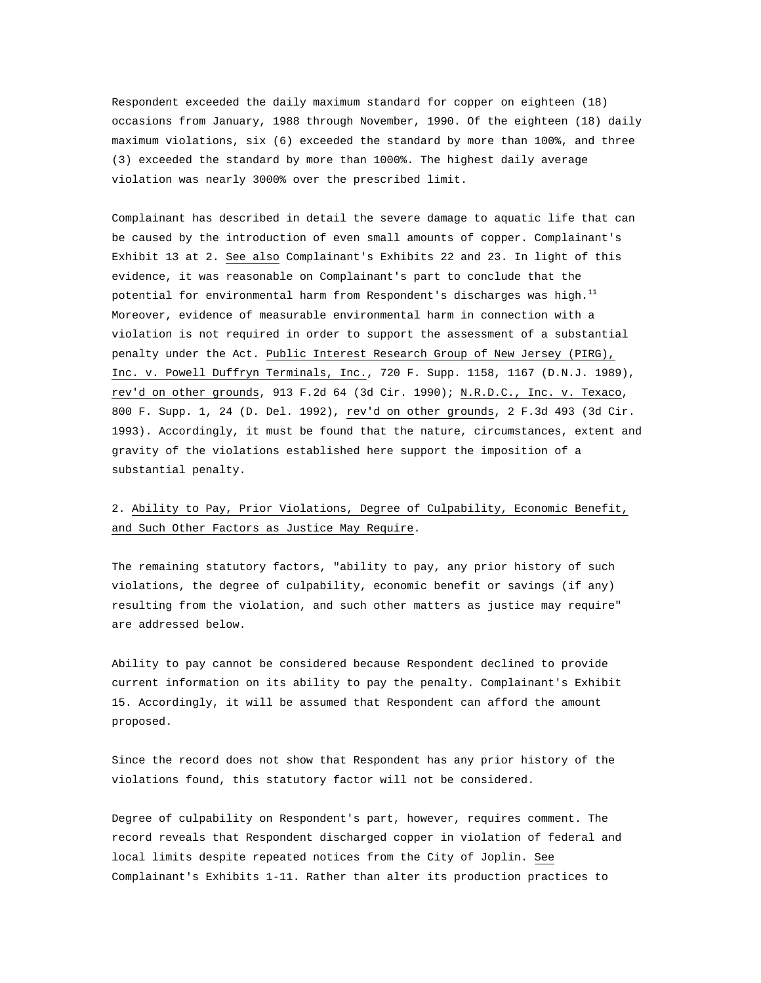Respondent exceeded the daily maximum standard for copper on eighteen (18) occasions from January, 1988 through November, 1990. Of the eighteen (18) daily maximum violations, six (6) exceeded the standard by more than 100%, and three (3) exceeded the standard by more than 1000%. The highest daily average violation was nearly 3000% over the prescribed limit.

Complainant has described in detail the severe damage to aquatic life that can be caused by the introduction of even small amounts of copper. Complainant's Exhibit 13 at 2. See also Complainant's Exhibits 22 and 23. In light of this evidence, it was reasonable on Complainant's part to conclude that the potential for environmental harm from Respondent's discharges was high.<sup>11</sup> Moreover, evidence of measurable environmental harm in connection with a violation is not required in order to support the assessment of a substantial penalty under the Act. Public Interest Research Group of New Jersey (PIRG), Inc. v. Powell Duffryn Terminals, Inc., 720 F. Supp. 1158, 1167 (D.N.J. 1989), rev'd on other grounds, 913 F.2d 64 (3d Cir. 1990); N.R.D.C., Inc. v. Texaco, 800 F. Supp. 1, 24 (D. Del. 1992), rev'd on other grounds, 2 F.3d 493 (3d Cir. 1993). Accordingly, it must be found that the nature, circumstances, extent and gravity of the violations established here support the imposition of a substantial penalty.

# 2. Ability to Pay, Prior Violations, Degree of Culpability, Economic Benefit, and Such Other Factors as Justice May Require.

The remaining statutory factors, "ability to pay, any prior history of such violations, the degree of culpability, economic benefit or savings (if any) resulting from the violation, and such other matters as justice may require" are addressed below.

Ability to pay cannot be considered because Respondent declined to provide current information on its ability to pay the penalty. Complainant's Exhibit 15. Accordingly, it will be assumed that Respondent can afford the amount proposed.

Since the record does not show that Respondent has any prior history of the violations found, this statutory factor will not be considered.

Degree of culpability on Respondent's part, however, requires comment. The record reveals that Respondent discharged copper in violation of federal and local limits despite repeated notices from the City of Joplin. See Complainant's Exhibits 1-11. Rather than alter its production practices to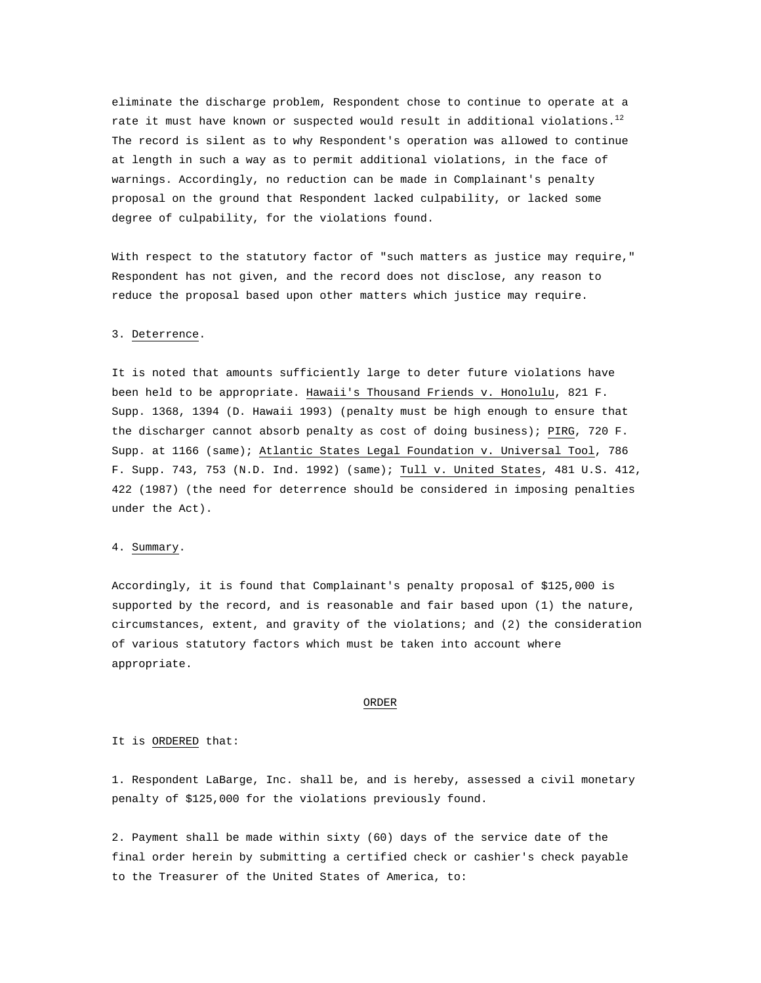eliminate the discharge problem, Respondent chose to continue to operate at a rate it must have known or suspected would result in additional violations.<sup>12</sup> The record is silent as to why Respondent's operation was allowed to continue at length in such a way as to permit additional violations, in the face of warnings. Accordingly, no reduction can be made in Complainant's penalty proposal on the ground that Respondent lacked culpability, or lacked some degree of culpability, for the violations found.

With respect to the statutory factor of "such matters as justice may require," Respondent has not given, and the record does not disclose, any reason to reduce the proposal based upon other matters which justice may require.

### 3. Deterrence.

It is noted that amounts sufficiently large to deter future violations have been held to be appropriate. Hawaii's Thousand Friends v. Honolulu, 821 F. Supp. 1368, 1394 (D. Hawaii 1993) (penalty must be high enough to ensure that the discharger cannot absorb penalty as cost of doing business); PIRG, 720 F. Supp. at 1166 (same); Atlantic States Legal Foundation v. Universal Tool, 786 F. Supp. 743, 753 (N.D. Ind. 1992) (same); Tull v. United States, 481 U.S. 412, 422 (1987) (the need for deterrence should be considered in imposing penalties under the Act).

### 4. Summary.

Accordingly, it is found that Complainant's penalty proposal of \$125,000 is supported by the record, and is reasonable and fair based upon (1) the nature, circumstances, extent, and gravity of the violations; and (2) the consideration of various statutory factors which must be taken into account where appropriate.

#### ORDER

## It is ORDERED that:

1. Respondent LaBarge, Inc. shall be, and is hereby, assessed a civil monetary penalty of \$125,000 for the violations previously found.

2. Payment shall be made within sixty (60) days of the service date of the final order herein by submitting a certified check or cashier's check payable to the Treasurer of the United States of America, to: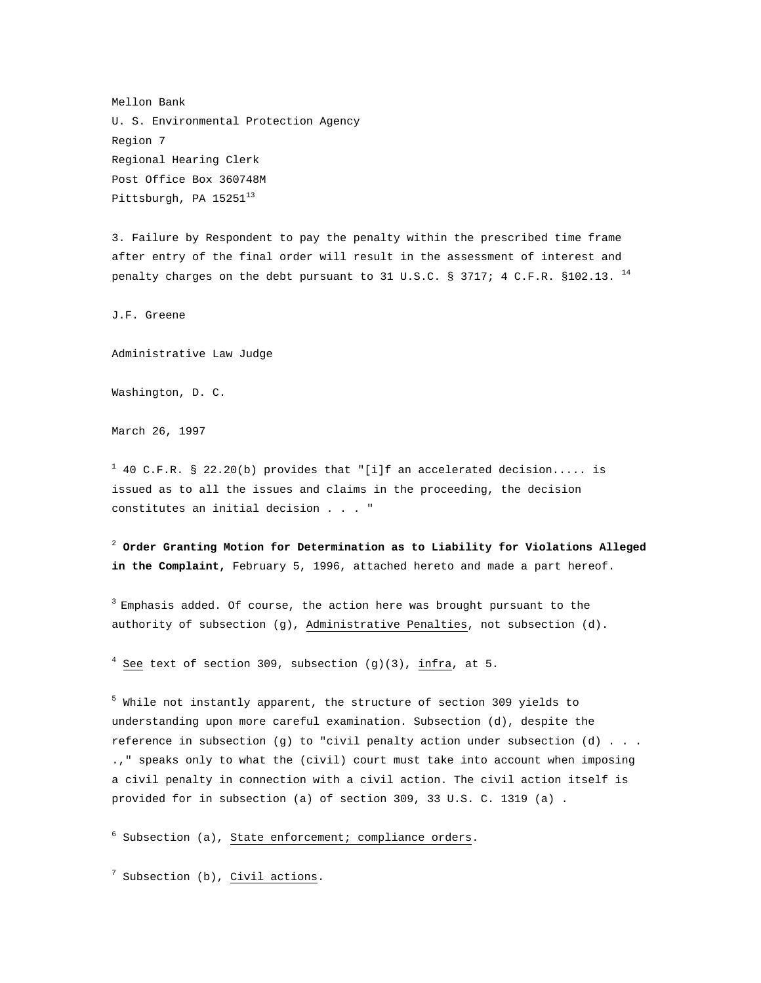Mellon Bank U. S. Environmental Protection Agency Region 7 Regional Hearing Clerk Post Office Box 360748M Pittsburgh, PA 15251<sup>13</sup>

3. Failure by Respondent to pay the penalty within the prescribed time frame after entry of the final order will result in the assessment of interest and penalty charges on the debt pursuant to 31 U.S.C. § 3717; 4 C.F.R. §102.13. <sup>14</sup>

J.F. Greene

Administrative Law Judge

Washington, D. C.

March 26, 1997

 $1$  40 C.F.R. § 22.20(b) provides that "[i]f an accelerated decision..... is issued as to all the issues and claims in the proceeding, the decision constitutes an initial decision . . . "

<sup>2</sup> **Order Granting Motion for Determination as to Liability for Violations Alleged in the Complaint,** February 5, 1996, attached hereto and made a part hereof.

 $3$  Emphasis added. Of course, the action here was brought pursuant to the authority of subsection (g), Administrative Penalties, not subsection (d).

 $4$  See text of section 309, subsection (g)(3), infra, at 5.

 $^5$  While not instantly apparent, the structure of section 309 yields to understanding upon more careful examination. Subsection (d), despite the reference in subsection (g) to "civil penalty action under subsection (d) . . . .," speaks only to what the (civil) court must take into account when imposing a civil penalty in connection with a civil action. The civil action itself is provided for in subsection (a) of section 309, 33 U.S. C. 1319 (a) .

<sup>6</sup> Subsection (a), State enforcement; compliance orders.

 $^7$  Subsection (b), Civil actions.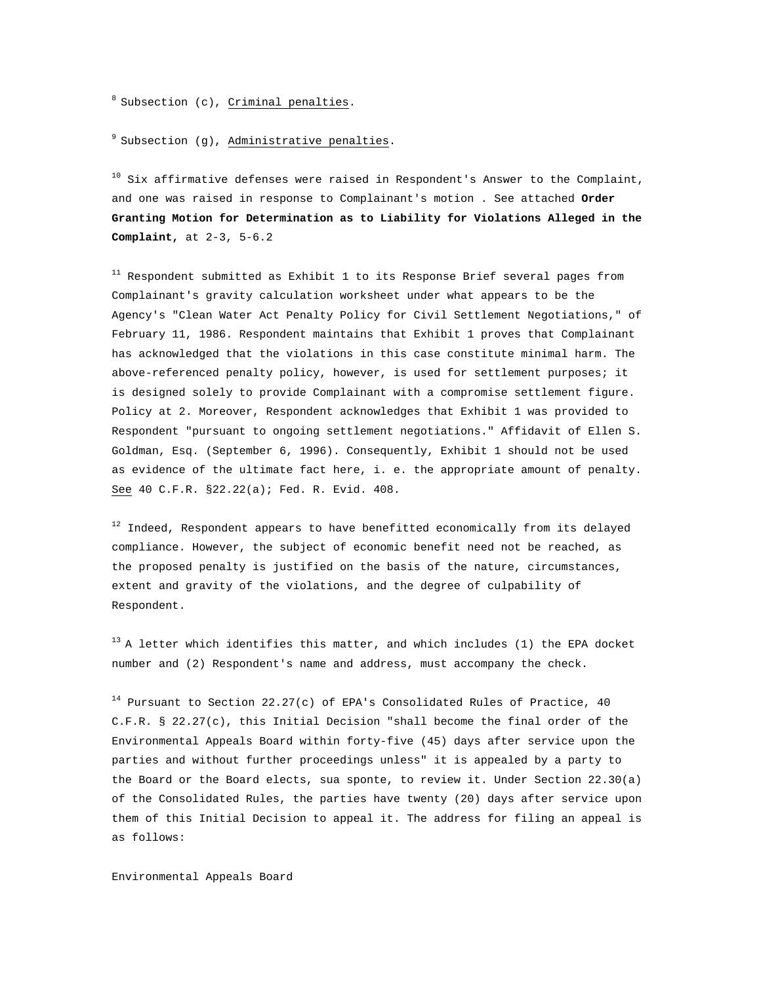$8$  Subsection (c), Criminal penalties.

 $9$  Subsection (g), Administrative penalties.

 $10$  Six affirmative defenses were raised in Respondent's Answer to the Complaint, and one was raised in response to Complainant's motion . See attached **Order Granting Motion for Determination as to Liability for Violations Alleged in the Complaint,** at 2-3, 5-6.2

 $11$  Respondent submitted as Exhibit 1 to its Response Brief several pages from Complainant's gravity calculation worksheet under what appears to be the Agency's "Clean Water Act Penalty Policy for Civil Settlement Negotiations," of February 11, 1986. Respondent maintains that Exhibit 1 proves that Complainant has acknowledged that the violations in this case constitute minimal harm. The above-referenced penalty policy, however, is used for settlement purposes; it is designed solely to provide Complainant with a compromise settlement figure. Policy at 2. Moreover, Respondent acknowledges that Exhibit 1 was provided to Respondent "pursuant to ongoing settlement negotiations." Affidavit of Ellen S. Goldman, Esq. (September 6, 1996). Consequently, Exhibit 1 should not be used as evidence of the ultimate fact here, i. e. the appropriate amount of penalty. See 40 C.F.R. §22.22(a); Fed. R. Evid. 408.

 $12$  Indeed, Respondent appears to have benefitted economically from its delayed compliance. However, the subject of economic benefit need not be reached, as the proposed penalty is justified on the basis of the nature, circumstances, extent and gravity of the violations, and the degree of culpability of Respondent.

 $13$  A letter which identifies this matter, and which includes (1) the EPA docket number and (2) Respondent's name and address, must accompany the check.

 $14$  Pursuant to Section 22.27(c) of EPA's Consolidated Rules of Practice, 40 C.F.R. § 22.27(c), this Initial Decision "shall become the final order of the Environmental Appeals Board within forty-five (45) days after service upon the parties and without further proceedings unless" it is appealed by a party to the Board or the Board elects, sua sponte, to review it. Under Section 22.30(a) of the Consolidated Rules, the parties have twenty (20) days after service upon them of this Initial Decision to appeal it. The address for filing an appeal is as follows:

Environmental Appeals Board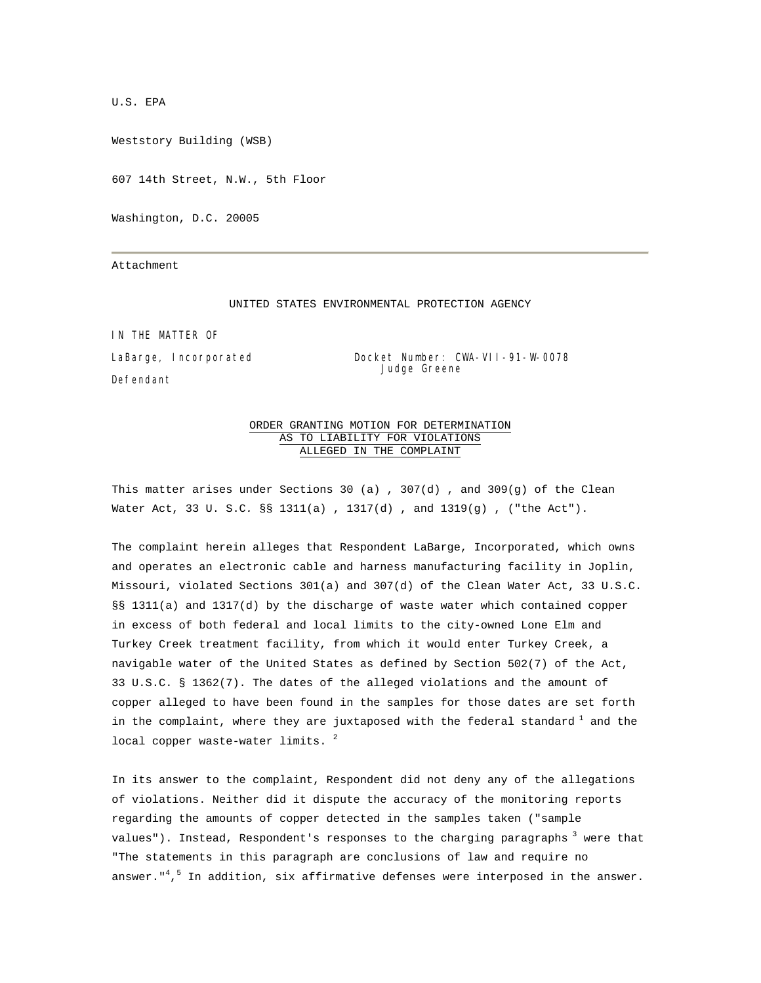U.S. EPA

Weststory Building (WSB)

607 14th Street, N.W., 5th Floor

Washington, D.C. 20005

Attachment

#### UNITED STATES ENVIRONMENTAL PROTECTION AGENCY

IN THE MATTER OF

Defendant

LaBarge, Incorporated Docket Number: CWA-VII-91-W-0078 Judge Greene

## ORDER GRANTING MOTION FOR DETERMINATION AS TO LIABILITY FOR VIOLATIONS ALLEGED IN THE COMPLAINT

This matter arises under Sections 30 (a) , 307(d) , and 309(g) of the Clean Water Act, 33 U. S.C*.* §§ 1311(a) , 1317(d) , and 1319(g) , ("the Act").

The complaint herein alleges that Respondent LaBarge, Incorporated, which owns and operates an electronic cable and harness manufacturing facility in Joplin, Missouri, violated Sections 301(a) and 307(d) of the Clean Water Act, 33 U.S.C. §§ 1311(a) and 1317(d) by the discharge of waste water which contained copper in excess of both federal and local limits to the city-owned Lone Elm and Turkey Creek treatment facility, from which it would enter Turkey Creek, a navigable water of the United States as defined by Section 502(7) of the Act, 33 U.S.C. § 1362(7). The dates of the alleged violations and the amount of copper alleged to have been found in the samples for those dates are set forth in the complaint, where they are juxtaposed with the federal standard  $^1$  and the local copper waste-water limits.  $2$ 

In its answer to the complaint, Respondent did not deny any of the allegations of violations. Neither did it dispute the accuracy of the monitoring reports regarding the amounts of copper detected in the samples taken ("sample values"). Instead, Respondent's responses to the charging paragraphs<sup>3</sup> were that "The statements in this paragraph are conclusions of law and require no answer."<sup>4,5</sup> In addition, six affirmative defenses were interposed in the answer.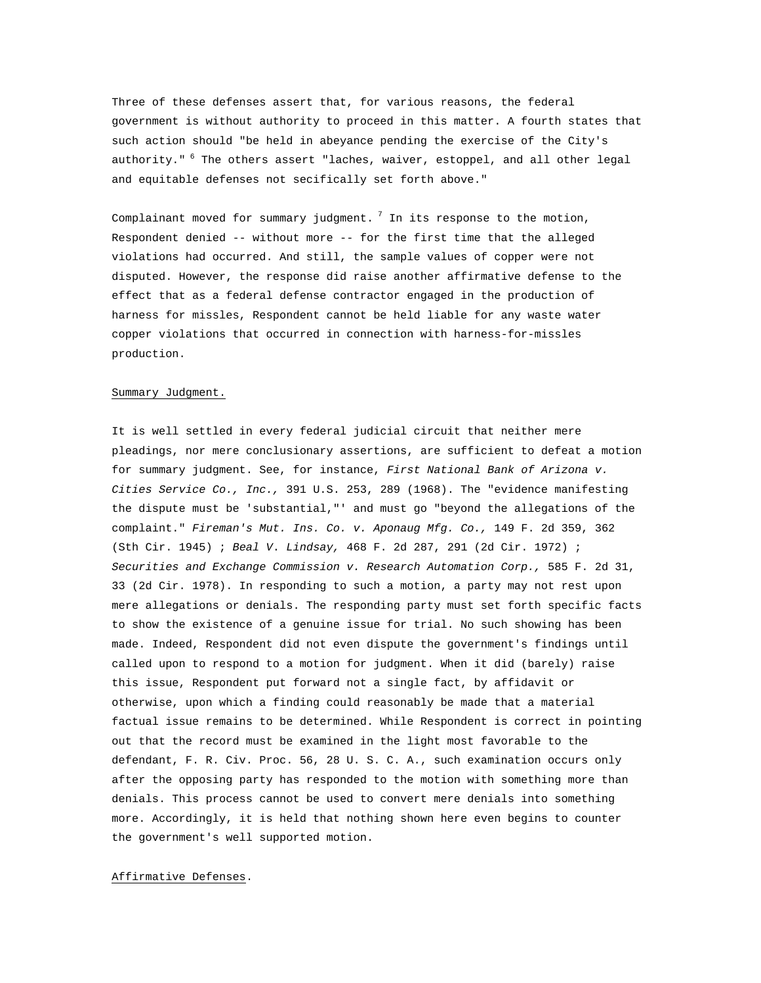Three of these defenses assert that, for various reasons, the federal government is without authority to proceed in this matter. A fourth states that such action should "be held in abeyance pending the exercise of the City's authority." <sup>6</sup> The others assert "laches, waiver, estoppel, and all other legal and equitable defenses not secifically set forth above."

Complainant moved for summary judgment.  $7$  In its response to the motion, Respondent denied -- without more -- for the first time that the alleged violations had occurred. And still, the sample values of copper were not disputed. However, the response did raise another affirmative defense to the effect that as a federal defense contractor engaged in the production of harness for missles, Respondent cannot be held liable for any waste water copper violations that occurred in connection with harness-for-missles production.

#### Summary Judgment.

It is well settled in every federal judicial circuit that neither mere pleadings, nor mere conclusionary assertions, are sufficient to defeat a motion for summary judgment. See, for instance, *First National Bank of Arizona v. Cities Service Co., Inc.,* 391 U.S. 253, 289 (1968). The "evidence manifesting the dispute must be 'substantial,"' and must go "beyond the allegations of the complaint." *Fireman's Mut. Ins. Co. v. Aponaug Mfg. Co.,* 149 F. 2d 359, 362 (Sth Cir. 1945) ; *Beal V*. *Lindsay,* 468 F. 2d 287, 291 (2d Cir. 1972) ; *Securities and Exchange Commission v. Research Automation Corp.,* 585 F. 2d 31, 33 (2d Cir. 1978). In responding to such a motion, a party may not rest upon mere allegations or denials. The responding party must set forth specific facts to show the existence of a genuine issue for trial. No such showing has been made. Indeed, Respondent did not even dispute the government's findings until called upon to respond to a motion for judgment. When it did (barely) raise this issue, Respondent put forward not a single fact, by affidavit or otherwise, upon which a finding could reasonably be made that a material factual issue remains to be determined. While Respondent is correct in pointing out that the record must be examined in the light most favorable to the defendant, F. R. Civ. Proc. 56, 28 U. S. C. A., such examination occurs only after the opposing party has responded to the motion with something more than denials. This process cannot be used to convert mere denials into something more. Accordingly, it is held that nothing shown here even begins to counter the government's well supported motion.

#### Affirmative Defenses.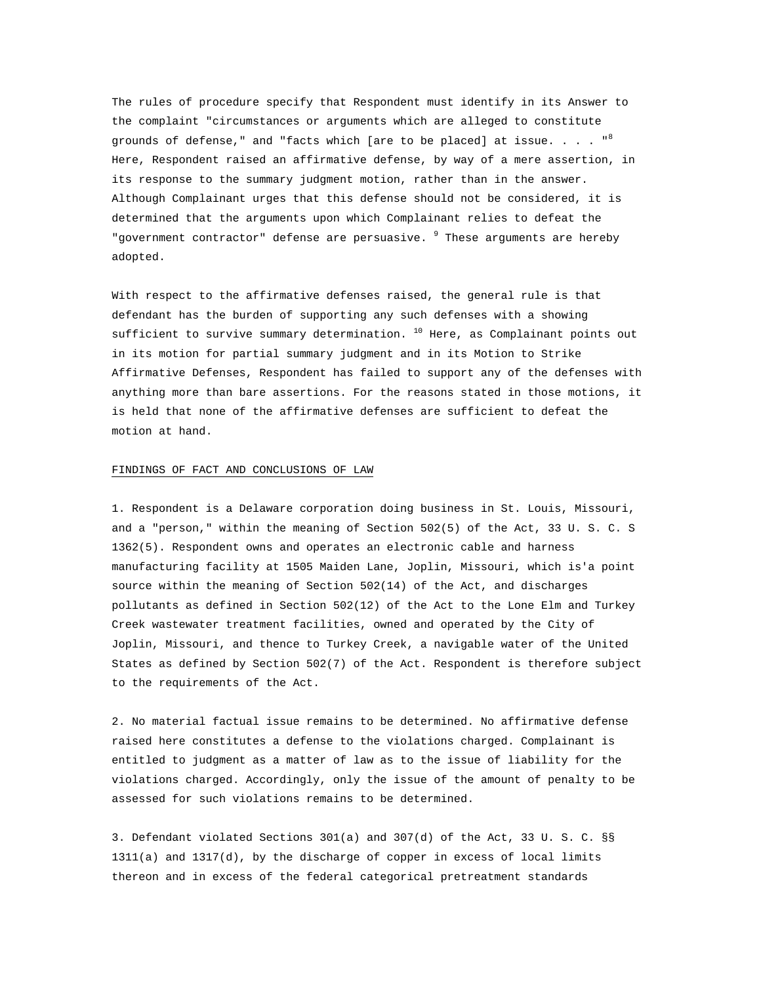The rules of procedure specify that Respondent must identify in its Answer to the complaint "circumstances or arguments which are alleged to constitute grounds of defense," and "facts which [are to be placed] at issue. . . .  $"$ Here, Respondent raised an affirmative defense, by way of a mere assertion, in its response to the summary judgment motion, rather than in the answer. Although Complainant urges that this defense should not be considered, it is determined that the arguments upon which Complainant relies to defeat the "government contractor" defense are persuasive. <sup>9</sup> These arguments are hereby adopted.

With respect to the affirmative defenses raised, the general rule is that defendant has the burden of supporting any such defenses with a showing sufficient to survive summary determination.  $10$  Here, as Complainant points out in its motion for partial summary judgment and in its Motion to Strike Affirmative Defenses, Respondent has failed to support any of the defenses with anything more than bare assertions. For the reasons stated in those motions, it is held that none of the affirmative defenses are sufficient to defeat the motion at hand.

### FINDINGS OF FACT AND CONCLUSIONS OF LAW

1. Respondent is a Delaware corporation doing business in St. Louis, Missouri, and a "person," within the meaning of Section 502(5) of the Act, 33 U. S. C. S 1362(5). Respondent owns and operates an electronic cable and harness manufacturing facility at 1505 Maiden Lane, Joplin, Missouri, which is'a point source within the meaning of Section 502(14) of the Act, and discharges pollutants as defined in Section 502(12) of the Act to the Lone Elm and Turkey Creek wastewater treatment facilities, owned and operated by the City of Joplin, Missouri, and thence to Turkey Creek, a navigable water of the United States as defined by Section 502(7) of the Act. Respondent is therefore subject to the requirements of the Act.

2. No material factual issue remains to be determined. No affirmative defense raised here constitutes a defense to the violations charged. Complainant is entitled to judgment as a matter of law as to the issue of liability for the violations charged. Accordingly, only the issue of the amount of penalty to be assessed for such violations remains to be determined.

3. Defendant violated Sections 301(a) and 307(d) of the Act, 33 U. S. C. §§ 1311(a) and 1317(d), by the discharge of copper in excess of local limits thereon and in excess of the federal categorical pretreatment standards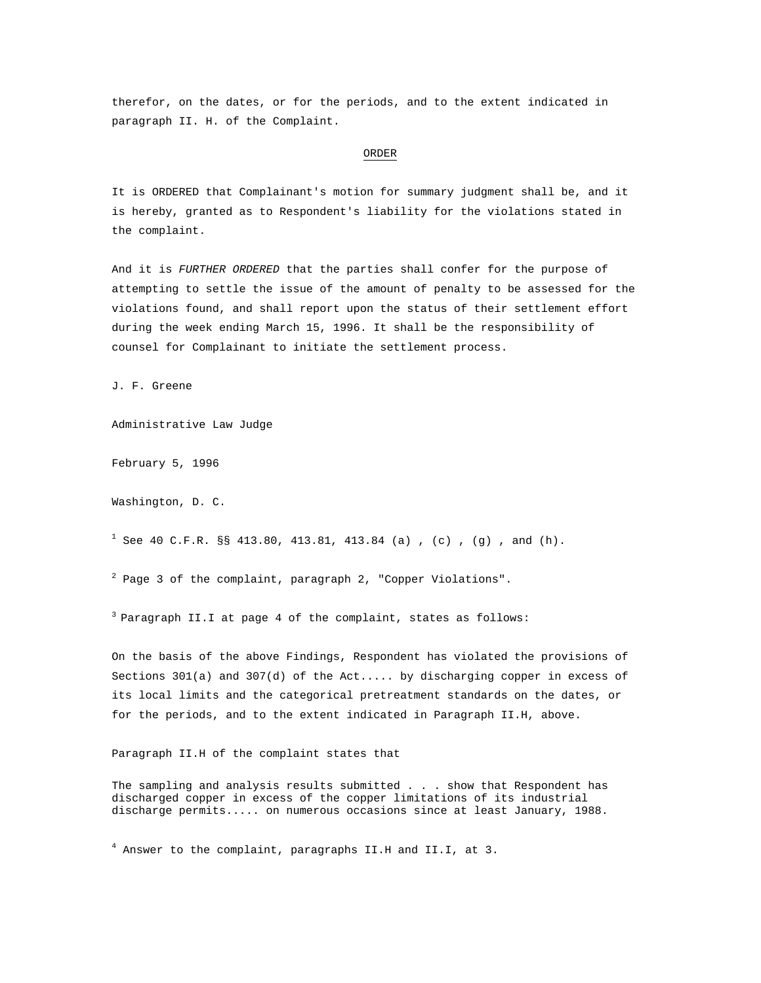therefor, on the dates, or for the periods, and to the extent indicated in paragraph II. H. of the Complaint.

#### ORDER

It is ORDERED that Complainant's motion for summary judgment shall be, and it is hereby, granted as to Respondent's liability for the violations stated in the complaint.

And it is *FURTHER ORDERED* that the parties shall confer for the purpose of attempting to settle the issue of the amount of penalty to be assessed for the violations found, and shall report upon the status of their settlement effort during the week ending March 15, 1996. It shall be the responsibility of counsel for Complainant to initiate the settlement process.

J. F. Greene

Administrative Law Judge

February 5, 1996

Washington, D. C.

<sup>1</sup> See 40 C.F.R. §§ 413.80, 413.81, 413.84 (a), (c), (g), and (h).

 $^{2}$  Page 3 of the complaint, paragraph 2, "Copper Violations".

 $3$  Paragraph II.I at page 4 of the complaint, states as follows:

On the basis of the above Findings, Respondent has violated the provisions of Sections 301(a) and 307(d) of the Act..... by discharging copper in excess of its local limits and the categorical pretreatment standards on the dates, or for the periods, and to the extent indicated in Paragraph II.H, above.

Paragraph II.H of the complaint states that

The sampling and analysis results submitted . . . show that Respondent has discharged copper in excess of the copper limitations of its industrial discharge permits..... on numerous occasions since at least January, 1988.

4 Answer to the complaint, paragraphs II.H and II.I, at 3.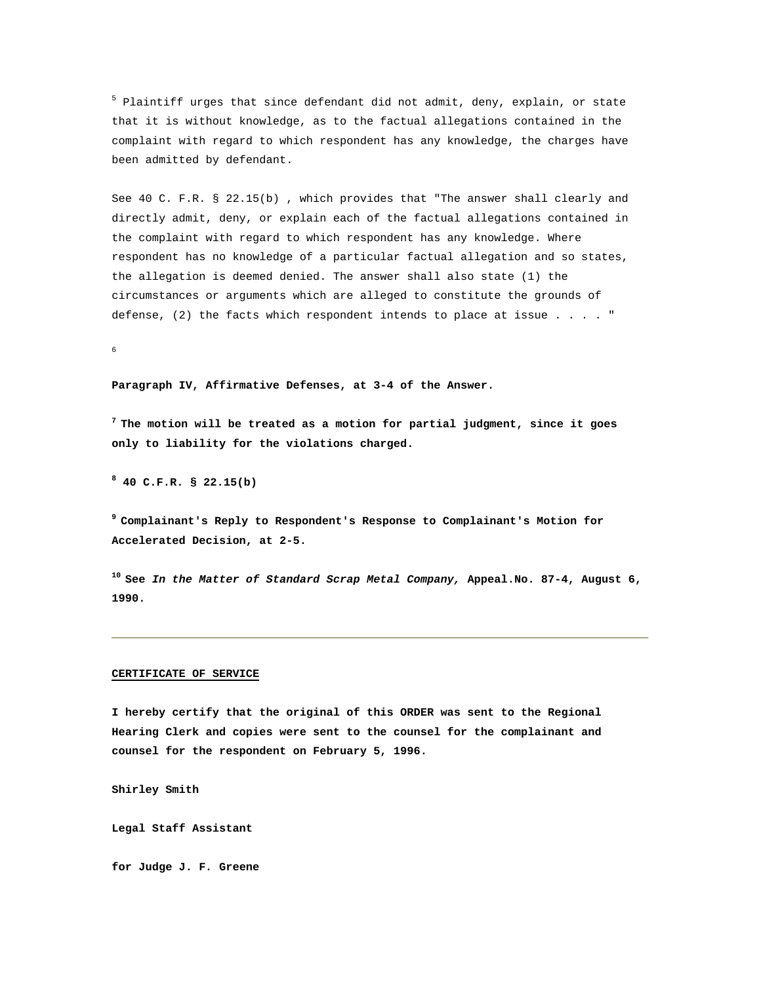<sup>5</sup> Plaintiff urges that since defendant did not admit, deny, explain, or state that it is without knowledge, as to the factual allegations contained in the complaint with regard to which respondent has any knowledge, the charges have been admitted by defendant.

See 40 C. F.R. § 22.15(b) , which provides that "The answer shall clearly and directly admit, deny, or explain each of the factual allegations contained in the complaint with regard to which respondent has any knowledge. Where respondent has no knowledge of a particular factual allegation and so states, the allegation is deemed denied. The answer shall also state (1) the circumstances or arguments which are alleged to constitute the grounds of defense, (2) the facts which respondent intends to place at issue . . . . "

6

#### **Paragraph IV, Affirmative Defenses, at 3-4 of the Answer.**

**7 The motion will be treated as a motion for partial judgment, since it goes only to liability for the violations charged.** 

**8 40 C.F.R. § 22.15(b)** 

**9 Complainant's Reply to Respondent's Response to Complainant's Motion for Accelerated Decision, at 2-5.** 

**10 See** *In the Matter of Standard Scrap Metal Company,* **Appeal.No. 87-4, August 6, 1990.** 

#### **CERTIFICATE OF SERVICE**

**I hereby certify that the original of this ORDER was sent to the Regional Hearing Clerk and copies were sent to the counsel for the complainant and counsel for the respondent on February 5, 1996.** 

**Shirley Smith** 

**Legal Staff Assistant** 

**for Judge J. F***.* **Greene**